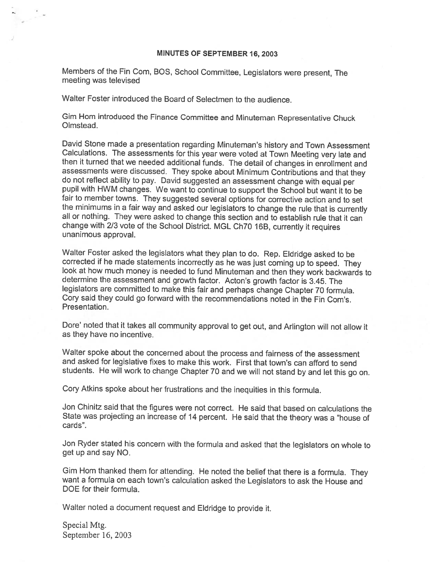#### MINUTES OF SEPTEMBER 16, 2003

Members of the Fin Com, BOS, School Committee, Legislators were present, The meeting was televised

Walter Foster introduced the Board of Selectmen to the audience.

Gim Hom introduced the Finance Committee and Minuteman Representative Chuck Olmstead.

David Stone made a presentation regarding Minuteman's history and Town Assessment Calculations. The assessments for this year were voted at Town Meeting very late and then it turned that we needed additional funds. The det do not reflect ability to pay. David suggested an assessment change with equal per pupil with HWM changes. We want to continue to support the School but want it to be fair to member towns. They suggested several options for corrective action and to set the minimums in <sup>a</sup> fair way and asked our legislators to change the rule that is currently all or nothing. They were asked to change this section and to establish rule that it can change with 2/3 vote of the School District. MGL Ch70 16B, currently it requires unanimous approval.

Walter Foster asked the legislators what they plan to do. Rep. Eldridge asked to be corrected if he made statements incorrectly as he was just coming up to speed. They look at how much money is needed to fund Minuteman and then they work backwards to determine the assessment and growth factor. Acton's growth factor is 3.45. The legislators are committed to make this fair and perhaps change Chapter <sup>70</sup> formula. Cory said they could go forward with the recommendations noted in the Fin Com's. Presentation.

Dore' noted that it takes all community approval to get out, and Arlington will not allow it as they have no incentive.

Walter spoke about the concerned about the process and fairness of the assessment and asked for legislative fixes to make this work. First that town's can afford to send students. He will work to change Chapter <sup>70</sup> and we will not stand by and let this go on.

Cory Atkins spoke about her frustrations and the inequities in this formula.

Jon Chinitz said that the figures were not correct. He said that based on calculations the State was projecting an increase of <sup>14</sup> percent. He said that the theory was <sup>a</sup> "house of cards".

Jon Ryder stated his concern with the formula and asked that the legislators on whole to get up and say NO.

Gim Hom thanked them for attending. He noted the belief that there is a formula. They want <sup>a</sup> formula on each town's calculation asked the Legislators to ask the House and DOE for their formula.

Walter noted <sup>a</sup> document request and Eldridge to provide it.

Special Mtg. September 16, 2003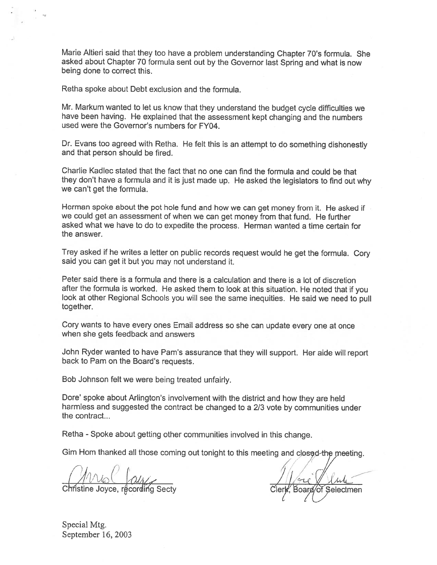Marie Altieri said that they too have <sup>a</sup> problem understanding Chapter 70's formula. She asked about Chapter <sup>70</sup> formula sent out by the Governor last Spring and what is now being done to correct this.

Retha spoke about Debt exclusion and the formula.

•0

Mr. Markum wanted to let us know that they understand the budget cycle difficulties we have been having. He explained that the assessment kept changing and the numbers used were the Governor's numbers for FY04.

Dr. Evans too agree<sup>d</sup> with Retha. He felt this is an attempt to do something dishonestly and that person should be fired.

Charlie Kadlec stated that the fact that no one can find the formula and could be that they don't have <sup>a</sup> formula and it is just made up. He asked the legislators to find out why we can't ge<sup>t</sup> the formula.

Herman spoke about the po<sup>t</sup> hole fund and how we can ge<sup>t</sup> money from it. He asked if we could ge<sup>t</sup> an assessment of when we can ge<sup>t</sup> money from that fund. He further asked what we have to do to expedite the process. Herman wanted <sup>a</sup> time certain for the answer.

Trey asked if he writes <sup>a</sup> letter on public records reques<sup>t</sup> would he ge<sup>t</sup> the formula. Cory said you can ge<sup>t</sup> it but you may not understand it.

Peter said there is <sup>a</sup> formula and there is <sup>a</sup> calculation and there is <sup>a</sup> lot of discretion after the formula is worked. He asked them to look at this situation. He noted that if you look at other Regional Schools you will see the same inequities. He said we need to pull together.

Cory wants to have every ones Email address so she can update every one at once when she gets feedback and answers

John Ryder wanted to have Pam's assurance that they will support. Her aide will repor<sup>t</sup> back to Pam on the Board's requests.

Bob Johnson felt we were being treated unfairly.

Dore' spoke about Arlington's involvement with the district and how they are held harmless and suggested the contract be changed to <sup>a</sup> <sup>213</sup> vote by communities under the contract...

Retha - Spoke about getting other communities involved in this change.

Gim Hom thanked all those coming out tonight to this meeting and closed-the meeting.

ANSC *CULT*<br>Christine Joyce, recording Secty Clerk, Board of Selectmen  $\ell \backslash \mathscr{S}$ 

Special Mtg. September 16, 2003